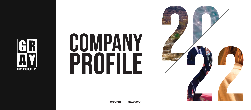

# COMPANY PROFILE

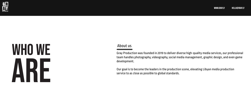## who we are

#### About us

Gray Production was founded in 2019 to deliver diverse high-quality media services, our professional team handles photography, videography, social media management, graphic design, and even game development.

Our goal is to become the leaders in the production scene, elevating Libyan media production service to as close as possible to global standards.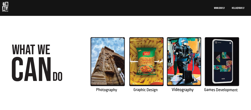

## do WHAT WE CAN









Photography Graphic Design Videography Games Development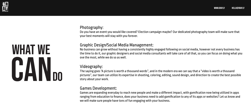#### **GR**<br>AV gray production

## do what we CAN

#### Photography:

Do you have an event you would like covered? Election campaign maybe? Our dedicated photography team will make sure that your best moments will stay with you forever.

#### Graphic Design/Social Media Management:

No business can grow without having a consistently highly engaged following on social media, however not every business has the time to do it, our graphic designers and social media consultants will take care of all that, so you can focus on doing what you ove the most, while we do so as well.

#### Videography:

The saying goes "A picture is worth a thousand words", and in the modern era we can say that a "video is worth a thousand pictures", our team can utilize its expertise in shooting, coloring, editing, sound design, and direction to create the best possible story about your work.

#### Games Development:

Games are expanding everyday to reach new people and make a different impact, with gamification now being utilized in apps ranging from education to finance, does your business need to add gamification to any of its apps or websites? Let us know and we will make sure people have tons of fun engaging with your business.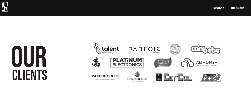

# clients

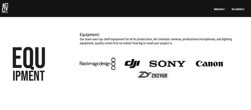

#### Equipment:

Our team uses top-shelf equipment for all its productions, 6K cinematic cameras, professional microphones, and lighting equipment, quality comes first no matter how big or small your project is.

### Blackmagicdesign g cluster SONY Canon  $2$  ZHIYUN

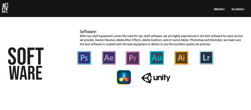

**WARE** 

SOFT

#### Software:

With top-shelf equipment comes the need for top-shelf software, we are highly experienced in the best software for each service we provide, Davinci Resolve, Adobe After Effects, Adobe Audition, and of course Adobe Photoshop and Illustrator, we make sure the best software is coupled with the best equipment to deliver to you the excellent quality we promise.